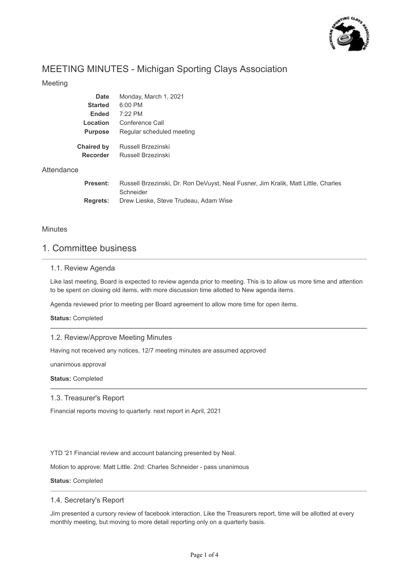

# MEETING MINUTES - Michigan Sporting Clays Association

## Meeting

| <b>Date</b>     | Monday, March 1, 2021                                                              |
|-----------------|------------------------------------------------------------------------------------|
| <b>Started</b>  | $6:00$ PM                                                                          |
| <b>Ended</b>    | $7:22$ PM                                                                          |
| Location        | Conference Call                                                                    |
| <b>Purpose</b>  | Regular scheduled meeting                                                          |
| Chaired by      | Russell Brzezinski                                                                 |
| <b>Recorder</b> | Russell Brzezinski                                                                 |
|                 |                                                                                    |
| <b>Present:</b> | Russell Brzezinski, Dr. Ron DeVuyst, Neal Fusner, Jim Kralik, Matt Little, Charles |
|                 | Schneider                                                                          |
| <b>Rearets:</b> | Drew Lieske, Steve Trudeau, Adam Wise                                              |

### **Minutes**

**Attendance** 

# 1. Committee business

## 1.1. Review Agenda

Like last meeting, Board is expected to review agenda prior to meeting. This is to allow us more time and attention to be spent on closing old items, with more discussion time allotted to New agenda items.

Agenda reviewed prior to meeting per Board agreement to allow more time for open items.

**Status:** Completed

#### 1.2. Review/Approve Meeting Minutes

Having not received any notices, 12/7 meeting minutes are assumed approved

unanimous approval

**Status:** Completed

#### 1.3. Treasurer's Report

Financial reports moving to quarterly. next report in April, 2021

YTD '21 Financial review and account balancing presented by Neal.

Motion to approve: Matt Little. 2nd: Charles Schneider - pass unanimous

**Status:** Completed

#### 1.4. Secretary's Report

Jim presented a cursory review of facebook interaction. Like the Treasurers report, time will be allotted at every monthly meeting, but moving to more detail reporting only on a quarterly basis.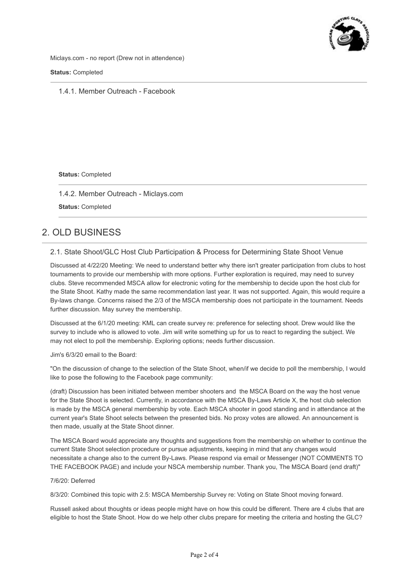

Miclays.com - no report (Drew not in attendence)

**Status:** Completed

1.4.1. Member Outreach - Facebook

**Status:** Completed

1.4.2. Member Outreach - Miclays.com

**Status:** Completed

# 2. OLD BUSINESS

## 2.1. State Shoot/GLC Host Club Participation & Process for Determining State Shoot Venue

Discussed at 4/22/20 Meeting: We need to understand better why there isn't greater participation from clubs to host tournaments to provide our membership with more options. Further exploration is required, may need to survey clubs. Steve recommended MSCA allow for electronic voting for the membership to decide upon the host club for the State Shoot. Kathy made the same recommendation last year. It was not supported. Again, this would require a By-laws change. Concerns raised the 2/3 of the MSCA membership does not participate in the tournament. Needs further discussion. May survey the membership.

Discussed at the 6/1/20 meeting: KML can create survey re: preference for selecting shoot. Drew would like the survey to include who is allowed to vote. Jim will write something up for us to react to regarding the subject. We may not elect to poll the membership. Exploring options; needs further discussion.

#### Jim's 6/3/20 email to the Board:

"On the discussion of change to the selection of the State Shoot, when/if we decide to poll the membership, I would like to pose the following to the Facebook page community:

(draft) Discussion has been initiated between member shooters and the MSCA Board on the way the host venue for the State Shoot is selected. Currently, in accordance with the MSCA By-Laws Article X, the host club selection is made by the MSCA general membership by vote. Each MSCA shooter in good standing and in attendance at the current year's State Shoot selects between the presented bids. No proxy votes are allowed. An announcement is then made, usually at the State Shoot dinner.

The MSCA Board would appreciate any thoughts and suggestions from the membership on whether to continue the current State Shoot selection procedure or pursue adjustments, keeping in mind that any changes would necessitate a change also to the current By-Laws. Please respond via email or Messenger (NOT COMMENTS TO THE FACEBOOK PAGE) and include your NSCA membership number. Thank you, The MSCA Board (end draft)"

#### 7/6/20: Deferred

8/3/20: Combined this topic with 2.5: MSCA Membership Survey re: Voting on State Shoot moving forward.

Russell asked about thoughts or ideas people might have on how this could be different. There are 4 clubs that are eligible to host the State Shoot. How do we help other clubs prepare for meeting the criteria and hosting the GLC?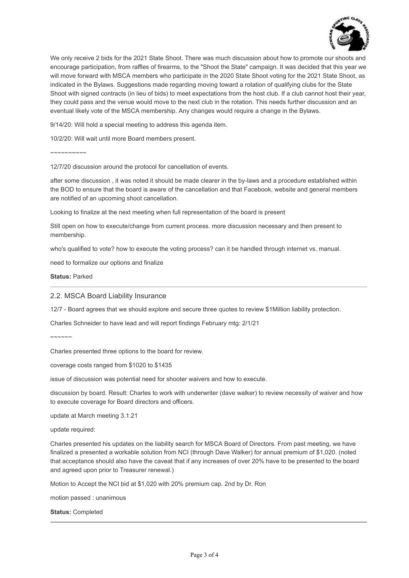

We only receive 2 bids for the 2021 State Shoot. There was much discussion about how to promote our shoots and encourage participation, from raffles of firearms, to the "Shoot the State" campaign. It was decided that this year we will move forward with MSCA members who participate in the 2020 State Shoot voting for the 2021 State Shoot, as indicated in the Bylaws. Suggestions made regarding moving toward a rotation of qualifying clubs for the State Shoot with signed contracts (in lieu of bids) to meet expectations from the host club. If a club cannot host their year, they could pass and the venue would move to the next club in the rotation. This needs further discussion and an eventual likely vote of the MSCA membership. Any changes would require a change in the Bylaws.

9/14/20: Will hold a special meeting to address this agenda item.

10/2/20: Will wait until more Board members present.

~~~~~~~~~~

12/7/20 discussion around the protocol for cancellation of events.

after some discussion , it was noted it should be made clearer in the by-laws and a procedure established within the BOD to ensure that the board is aware of the cancellation and that Facebook, website and general members are notified of an upcoming shoot cancellation.

Looking to finalize at the next meeting when full representation of the board is present

Still open on how to execute/change from current process. more discussion necessary and then present to membership.

who's qualified to vote? how to execute the voting process? can it be handled through internet vs. manual.

need to formalize our options and finalize

**Status:** Parked

2.2. MSCA Board Liability Insurance

12/7 - Board agrees that we should explore and secure three quotes to review \$1Million liability protection.

Charles Schneider to have lead and will report findings February mtg: 2/1/21

 $\sim$  $\sim$  $\sim$  $\sim$  $\sim$ 

Charles presented three options to the board for review.

coverage costs ranged from \$1020 to \$1435

issue of discussion was potential need for shooter waivers and how to execute.

discussion by board. Result: Charles to work with underwriter (dave walker) to review necessity of waiver and how to execute coverage for Board directors and officers.

update at March meeting 3.1.21

update required:

Charles presented his updates on the liability search for MSCA Board of Directors. From past meeting, we have finalized a presented a workable solution from NCI (through Dave Walker) for annual premium of \$1,020. (noted that acceptance should also have the caveat that if any increases of over 20% have to be presented to the board and agreed upon prior to Treasurer renewal.)

Motion to Accept the NCI bid at \$1,020 with 20% premium cap. 2nd by Dr. Ron

motion passed : unanimous

**Status:** Completed